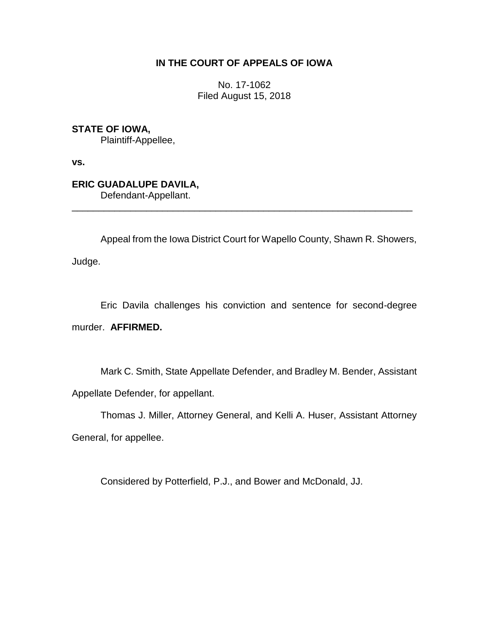## **IN THE COURT OF APPEALS OF IOWA**

No. 17-1062 Filed August 15, 2018

**STATE OF IOWA,**

Plaintiff-Appellee,

**vs.**

**ERIC GUADALUPE DAVILA,** Defendant-Appellant.

Appeal from the Iowa District Court for Wapello County, Shawn R. Showers,

\_\_\_\_\_\_\_\_\_\_\_\_\_\_\_\_\_\_\_\_\_\_\_\_\_\_\_\_\_\_\_\_\_\_\_\_\_\_\_\_\_\_\_\_\_\_\_\_\_\_\_\_\_\_\_\_\_\_\_\_\_\_\_\_

Judge.

Eric Davila challenges his conviction and sentence for second-degree murder. **AFFIRMED.**

Mark C. Smith, State Appellate Defender, and Bradley M. Bender, Assistant Appellate Defender, for appellant.

Thomas J. Miller, Attorney General, and Kelli A. Huser, Assistant Attorney General, for appellee.

Considered by Potterfield, P.J., and Bower and McDonald, JJ.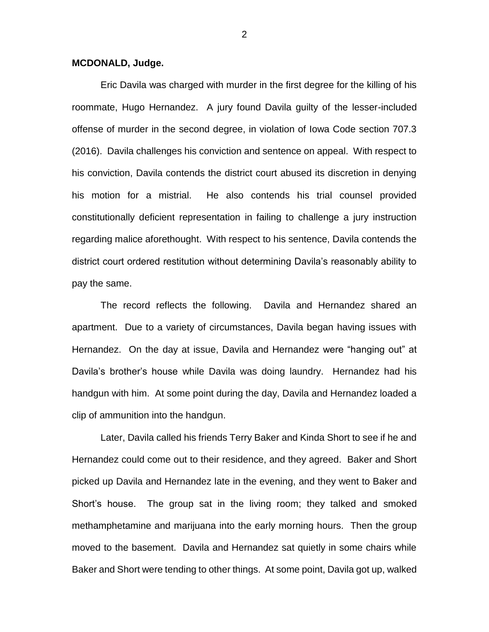## **MCDONALD, Judge.**

Eric Davila was charged with murder in the first degree for the killing of his roommate, Hugo Hernandez. A jury found Davila guilty of the lesser-included offense of murder in the second degree, in violation of Iowa Code section 707.3 (2016). Davila challenges his conviction and sentence on appeal. With respect to his conviction, Davila contends the district court abused its discretion in denying his motion for a mistrial. He also contends his trial counsel provided constitutionally deficient representation in failing to challenge a jury instruction regarding malice aforethought. With respect to his sentence, Davila contends the district court ordered restitution without determining Davila's reasonably ability to pay the same.

The record reflects the following. Davila and Hernandez shared an apartment. Due to a variety of circumstances, Davila began having issues with Hernandez. On the day at issue, Davila and Hernandez were "hanging out" at Davila's brother's house while Davila was doing laundry. Hernandez had his handgun with him. At some point during the day, Davila and Hernandez loaded a clip of ammunition into the handgun.

Later, Davila called his friends Terry Baker and Kinda Short to see if he and Hernandez could come out to their residence, and they agreed. Baker and Short picked up Davila and Hernandez late in the evening, and they went to Baker and Short's house. The group sat in the living room; they talked and smoked methamphetamine and marijuana into the early morning hours. Then the group moved to the basement. Davila and Hernandez sat quietly in some chairs while Baker and Short were tending to other things. At some point, Davila got up, walked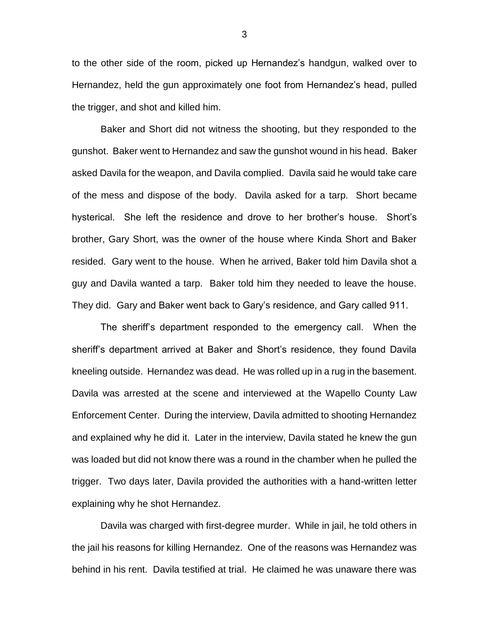to the other side of the room, picked up Hernandez's handgun, walked over to Hernandez, held the gun approximately one foot from Hernandez's head, pulled the trigger, and shot and killed him.

Baker and Short did not witness the shooting, but they responded to the gunshot. Baker went to Hernandez and saw the gunshot wound in his head. Baker asked Davila for the weapon, and Davila complied. Davila said he would take care of the mess and dispose of the body. Davila asked for a tarp. Short became hysterical. She left the residence and drove to her brother's house. Short's brother, Gary Short, was the owner of the house where Kinda Short and Baker resided. Gary went to the house. When he arrived, Baker told him Davila shot a guy and Davila wanted a tarp. Baker told him they needed to leave the house. They did. Gary and Baker went back to Gary's residence, and Gary called 911.

The sheriff's department responded to the emergency call. When the sheriff's department arrived at Baker and Short's residence, they found Davila kneeling outside. Hernandez was dead. He was rolled up in a rug in the basement. Davila was arrested at the scene and interviewed at the Wapello County Law Enforcement Center. During the interview, Davila admitted to shooting Hernandez and explained why he did it. Later in the interview, Davila stated he knew the gun was loaded but did not know there was a round in the chamber when he pulled the trigger. Two days later, Davila provided the authorities with a hand-written letter explaining why he shot Hernandez.

Davila was charged with first-degree murder. While in jail, he told others in the jail his reasons for killing Hernandez. One of the reasons was Hernandez was behind in his rent. Davila testified at trial. He claimed he was unaware there was

3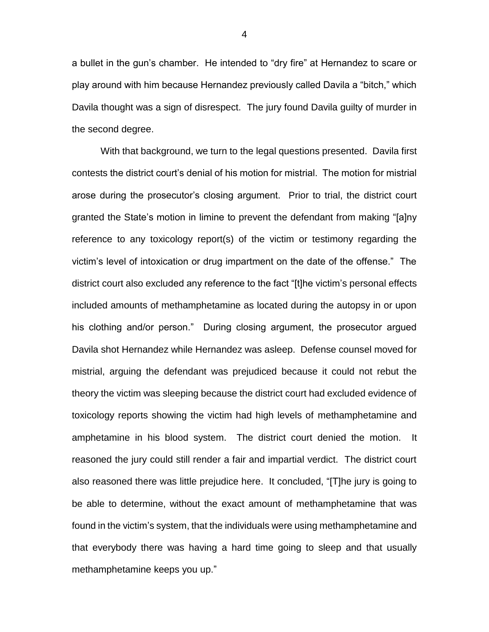a bullet in the gun's chamber. He intended to "dry fire" at Hernandez to scare or play around with him because Hernandez previously called Davila a "bitch," which Davila thought was a sign of disrespect. The jury found Davila guilty of murder in the second degree.

With that background, we turn to the legal questions presented. Davila first contests the district court's denial of his motion for mistrial. The motion for mistrial arose during the prosecutor's closing argument. Prior to trial, the district court granted the State's motion in limine to prevent the defendant from making "[a]ny reference to any toxicology report(s) of the victim or testimony regarding the victim's level of intoxication or drug impartment on the date of the offense." The district court also excluded any reference to the fact "[t]he victim's personal effects included amounts of methamphetamine as located during the autopsy in or upon his clothing and/or person." During closing argument, the prosecutor argued Davila shot Hernandez while Hernandez was asleep. Defense counsel moved for mistrial, arguing the defendant was prejudiced because it could not rebut the theory the victim was sleeping because the district court had excluded evidence of toxicology reports showing the victim had high levels of methamphetamine and amphetamine in his blood system. The district court denied the motion. It reasoned the jury could still render a fair and impartial verdict. The district court also reasoned there was little prejudice here. It concluded, "[T]he jury is going to be able to determine, without the exact amount of methamphetamine that was found in the victim's system, that the individuals were using methamphetamine and that everybody there was having a hard time going to sleep and that usually methamphetamine keeps you up."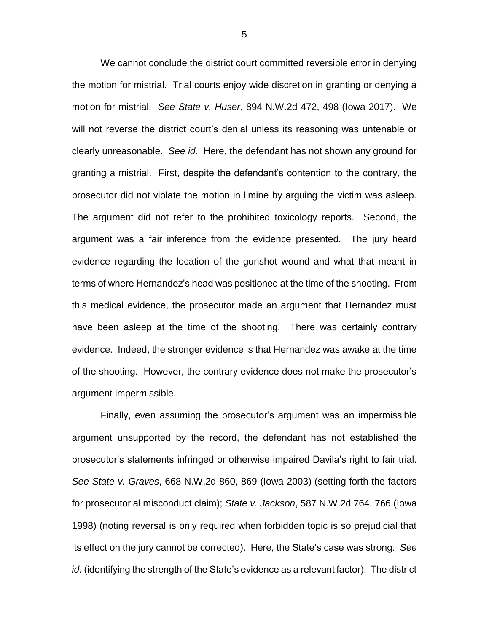We cannot conclude the district court committed reversible error in denying the motion for mistrial. Trial courts enjoy wide discretion in granting or denying a motion for mistrial. *See State v. Huser*, 894 N.W.2d 472, 498 (Iowa 2017). We will not reverse the district court's denial unless its reasoning was untenable or clearly unreasonable. *See id.* Here, the defendant has not shown any ground for granting a mistrial. First, despite the defendant's contention to the contrary, the prosecutor did not violate the motion in limine by arguing the victim was asleep. The argument did not refer to the prohibited toxicology reports. Second, the argument was a fair inference from the evidence presented. The jury heard evidence regarding the location of the gunshot wound and what that meant in terms of where Hernandez's head was positioned at the time of the shooting. From this medical evidence, the prosecutor made an argument that Hernandez must have been asleep at the time of the shooting. There was certainly contrary evidence. Indeed, the stronger evidence is that Hernandez was awake at the time of the shooting. However, the contrary evidence does not make the prosecutor's argument impermissible.

Finally, even assuming the prosecutor's argument was an impermissible argument unsupported by the record, the defendant has not established the prosecutor's statements infringed or otherwise impaired Davila's right to fair trial. *See State v. Graves*, 668 N.W.2d 860, 869 (Iowa 2003) (setting forth the factors for prosecutorial misconduct claim); *State v. Jackson*, 587 N.W.2d 764, 766 (Iowa 1998) (noting reversal is only required when forbidden topic is so prejudicial that its effect on the jury cannot be corrected). Here, the State's case was strong. *See id.* (identifying the strength of the State's evidence as a relevant factor). The district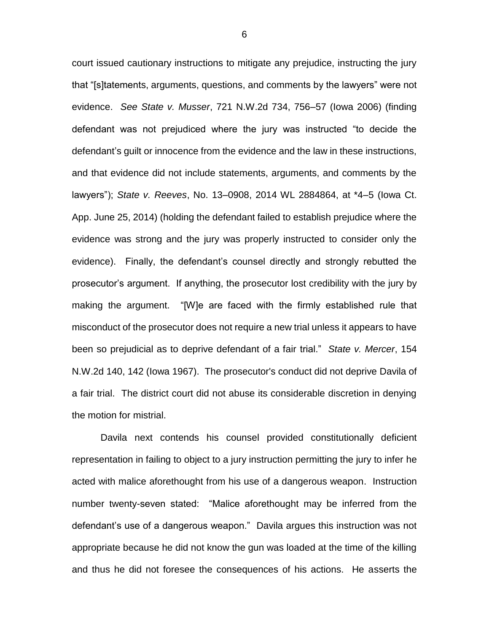court issued cautionary instructions to mitigate any prejudice, instructing the jury that "[s]tatements, arguments, questions, and comments by the lawyers" were not evidence. *See State v. Musser*, 721 N.W.2d 734, 756–57 (Iowa 2006) (finding defendant was not prejudiced where the jury was instructed "to decide the defendant's guilt or innocence from the evidence and the law in these instructions, and that evidence did not include statements, arguments, and comments by the lawyers"); *State v. Reeves*, No. 13–0908, 2014 WL 2884864, at \*4–5 (Iowa Ct. App. June 25, 2014) (holding the defendant failed to establish prejudice where the evidence was strong and the jury was properly instructed to consider only the evidence). Finally, the defendant's counsel directly and strongly rebutted the prosecutor's argument. If anything, the prosecutor lost credibility with the jury by making the argument. "[W]e are faced with the firmly established rule that misconduct of the prosecutor does not require a new trial unless it appears to have been so prejudicial as to deprive defendant of a fair trial." *State v. Mercer*, 154 N.W.2d 140, 142 (Iowa 1967). The prosecutor's conduct did not deprive Davila of a fair trial. The district court did not abuse its considerable discretion in denying the motion for mistrial.

Davila next contends his counsel provided constitutionally deficient representation in failing to object to a jury instruction permitting the jury to infer he acted with malice aforethought from his use of a dangerous weapon. Instruction number twenty-seven stated: "Malice aforethought may be inferred from the defendant's use of a dangerous weapon." Davila argues this instruction was not appropriate because he did not know the gun was loaded at the time of the killing and thus he did not foresee the consequences of his actions. He asserts the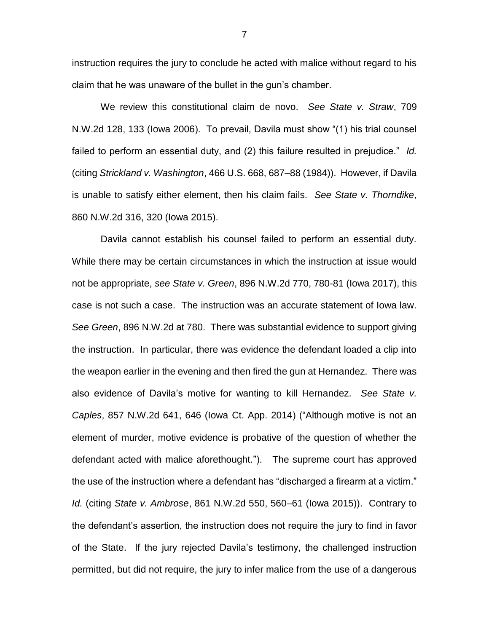instruction requires the jury to conclude he acted with malice without regard to his claim that he was unaware of the bullet in the gun's chamber.

We review this constitutional claim de novo. *See State v. Straw*, 709 N.W.2d 128, 133 (Iowa 2006). To prevail, Davila must show "(1) his trial counsel failed to perform an essential duty, and (2) this failure resulted in prejudice." *Id.* (citing *Strickland v. Washington*, 466 U.S. 668, 687–88 (1984)). However, if Davila is unable to satisfy either element, then his claim fails. *See State v. Thorndike*, 860 N.W.2d 316, 320 (Iowa 2015).

Davila cannot establish his counsel failed to perform an essential duty. While there may be certain circumstances in which the instruction at issue would not be appropriate, *see State v. Green*, 896 N.W.2d 770, 780-81 (Iowa 2017), this case is not such a case. The instruction was an accurate statement of Iowa law. *See Green*, 896 N.W.2d at 780. There was substantial evidence to support giving the instruction. In particular, there was evidence the defendant loaded a clip into the weapon earlier in the evening and then fired the gun at Hernandez. There was also evidence of Davila's motive for wanting to kill Hernandez. *See State v. Caples*, 857 N.W.2d 641, 646 (Iowa Ct. App. 2014) ("Although motive is not an element of murder, motive evidence is probative of the question of whether the defendant acted with malice aforethought."). The supreme court has approved the use of the instruction where a defendant has "discharged a firearm at a victim." *Id.* (citing *State v. Ambrose*, 861 N.W.2d 550, 560–61 (Iowa 2015)). Contrary to the defendant's assertion, the instruction does not require the jury to find in favor of the State. If the jury rejected Davila's testimony, the challenged instruction permitted, but did not require, the jury to infer malice from the use of a dangerous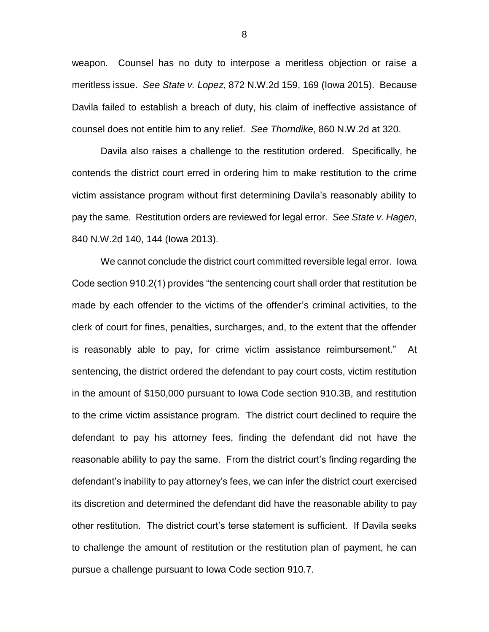weapon. Counsel has no duty to interpose a meritless objection or raise a meritless issue. *See State v. Lopez*, 872 N.W.2d 159, 169 (Iowa 2015). Because Davila failed to establish a breach of duty, his claim of ineffective assistance of counsel does not entitle him to any relief. *See Thorndike*, 860 N.W.2d at 320.

Davila also raises a challenge to the restitution ordered. Specifically, he contends the district court erred in ordering him to make restitution to the crime victim assistance program without first determining Davila's reasonably ability to pay the same. Restitution orders are reviewed for legal error. *See State v. Hagen*, 840 N.W.2d 140, 144 (Iowa 2013).

We cannot conclude the district court committed reversible legal error. Iowa Code section 910.2(1) provides "the sentencing court shall order that restitution be made by each offender to the victims of the offender's criminal activities, to the clerk of court for fines, penalties, surcharges, and, to the extent that the offender is reasonably able to pay, for crime victim assistance reimbursement." At sentencing, the district ordered the defendant to pay court costs, victim restitution in the amount of \$150,000 pursuant to Iowa Code section 910.3B, and restitution to the crime victim assistance program. The district court declined to require the defendant to pay his attorney fees, finding the defendant did not have the reasonable ability to pay the same. From the district court's finding regarding the defendant's inability to pay attorney's fees, we can infer the district court exercised its discretion and determined the defendant did have the reasonable ability to pay other restitution. The district court's terse statement is sufficient. If Davila seeks to challenge the amount of restitution or the restitution plan of payment, he can pursue a challenge pursuant to Iowa Code section 910.7.